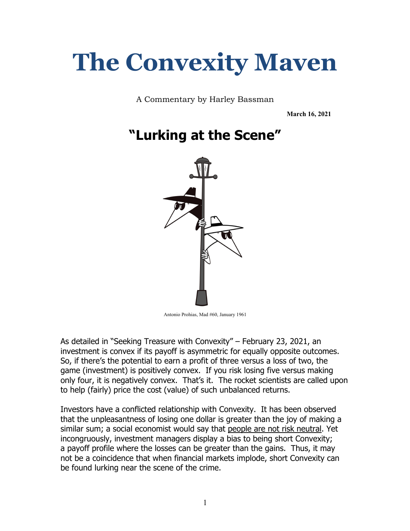# **The Convexity Maven**

A Commentary by Harley Bassman

**March 16, 2021**

# **"Lurking at the Scene"**



Antonio Prohias, Mad #60, January 1961

As detailed in "Seeking Treasure with Convexity" – February 23, 2021, an investment is convex if its payoff is asymmetric for equally opposite outcomes. So, if there's the potential to earn a profit of three versus a loss of two, the game (investment) is positively convex. If you risk losing five versus making only four, it is negatively convex. That's it. The rocket scientists are called upon to help (fairly) price the cost (value) of such unbalanced returns.

Investors have a conflicted relationship with Convexity. It has been observed that the unpleasantness of losing one dollar is greater than the joy of making a similar sum; a social economist would say that people are not risk neutral. Yet incongruously, investment managers display a bias to being short Convexity; a payoff profile where the losses can be greater than the gains. Thus, it may not be a coincidence that when financial markets implode, short Convexity can be found lurking near the scene of the crime.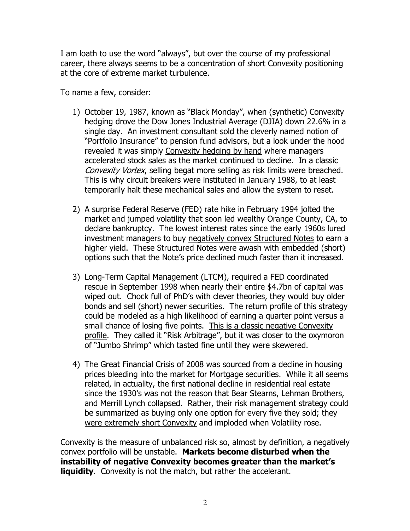I am loath to use the word "always", but over the course of my professional career, there always seems to be a concentration of short Convexity positioning at the core of extreme market turbulence.

To name a few, consider:

- 1) October 19, 1987, known as "Black Monday", when (synthetic) Convexity hedging drove the Dow Jones Industrial Average (DJIA) down 22.6% in a single day. An investment consultant sold the cleverly named notion of "Portfolio Insurance" to pension fund advisors, but a look under the hood revealed it was simply Convexity hedging by hand where managers accelerated stock sales as the market continued to decline. In a classic Convexity Vortex, selling begat more selling as risk limits were breached. This is why circuit breakers were instituted in January 1988, to at least temporarily halt these mechanical sales and allow the system to reset.
- 2) A surprise Federal Reserve (FED) rate hike in February 1994 jolted the market and jumped volatility that soon led wealthy Orange County, CA, to declare bankruptcy. The lowest interest rates since the early 1960s lured investment managers to buy negatively convex Structured Notes to earn a higher yield. These Structured Notes were awash with embedded (short) options such that the Note's price declined much faster than it increased.
- 3) Long-Term Capital Management (LTCM), required a FED coordinated rescue in September 1998 when nearly their entire \$4.7bn of capital was wiped out. Chock full of PhD's with clever theories, they would buy older bonds and sell (short) newer securities. The return profile of this strategy could be modeled as a high likelihood of earning a quarter point versus a small chance of losing five points. This is a classic negative Convexity profile. They called it "Risk Arbitrage", but it was closer to the oxymoron of "Jumbo Shrimp" which tasted fine until they were skewered.
- 4) The Great Financial Crisis of 2008 was sourced from a decline in housing prices bleeding into the market for Mortgage securities. While it all seems related, in actuality, the first national decline in residential real estate since the 1930's was not the reason that Bear Stearns, Lehman Brothers, and Merrill Lynch collapsed. Rather, their risk management strategy could be summarized as buying only one option for every five they sold; they were extremely short Convexity and imploded when Volatility rose.

Convexity is the measure of unbalanced risk so, almost by definition, a negatively convex portfolio will be unstable. **Markets become disturbed when the instability of negative Convexity becomes greater than the market's liquidity.** Convexity is not the match, but rather the accelerant.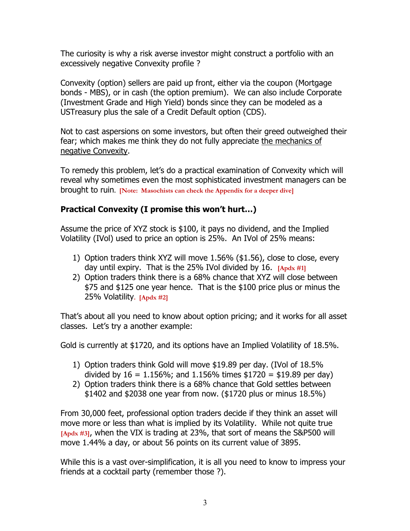The curiosity is why a risk averse investor might construct a portfolio with an excessively negative Convexity profile ?

Convexity (option) sellers are paid up front, either via the coupon (Mortgage bonds - MBS), or in cash (the option premium). We can also include Corporate (Investment Grade and High Yield) bonds since they can be modeled as a USTreasury plus the sale of a Credit Default option (CDS).

Not to cast aspersions on some investors, but often their greed outweighed their fear; which makes me think they do not fully appreciate the mechanics of negative Convexity.

To remedy this problem, let's do a practical examination of Convexity which will reveal why sometimes even the most sophisticated investment managers can be brought to ruin**. [Note: Masochists can check the Appendix for a deeper dive]**

# **Practical Convexity (I promise this won't hurt…)**

Assume the price of XYZ stock is \$100, it pays no dividend, and the Implied Volatility (IVol) used to price an option is 25%. An IVol of 25% means:

- 1) Option traders think XYZ will move 1.56% (\$1.56), close to close, every day until expiry. That is the 25% IVol divided by 16. **[Apdx #1]**
- 2) Option traders think there is a 68% chance that XYZ will close between \$75 and \$125 one year hence. That is the \$100 price plus or minus the 25% Volatility**. [Apdx #2]**

That's about all you need to know about option pricing; and it works for all asset classes. Let's try a another example:

Gold is currently at \$1720, and its options have an Implied Volatility of 18.5%.

- 1) Option traders think Gold will move \$19.89 per day. (IVol of 18.5% divided by  $16 = 1.156\%$ ; and  $1.156\%$  times \$1720 = \$19.89 per day)
- 2) Option traders think there is a 68% chance that Gold settles between \$1402 and \$2038 one year from now. (\$1720 plus or minus 18.5%)

From 30,000 feet, professional option traders decide if they think an asset will move more or less than what is implied by its Volatility. While not quite true **[Apdx #3]**, when the VIX is trading at 23%, that sort of means the S&P500 will move 1.44% a day, or about 56 points on its current value of 3895.

While this is a vast over-simplification, it is all you need to know to impress your friends at a cocktail party (remember those ?).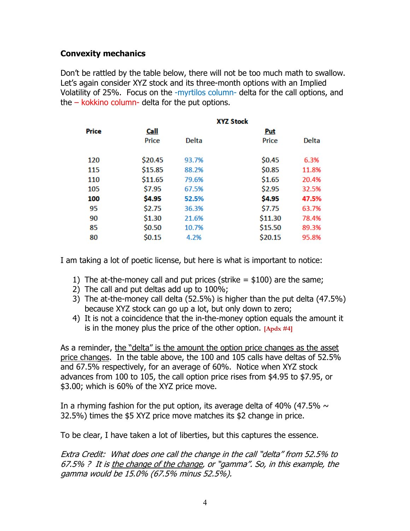# **Convexity mechanics**

Don't be rattled by the table below, there will not be too much math to swallow. Let's again consider XYZ stock and its three-month options with an Implied Volatility of 25%. Focus on the -myrtilos column- delta for the call options, and the  $-$  kokkino column- delta for the put options.

|       | <b>XYZ Stock</b> |              |            |       |  |  |
|-------|------------------|--------------|------------|-------|--|--|
| Price | Call             |              | <b>Put</b> |       |  |  |
|       | Price            | <b>Delta</b> | Price      | Delta |  |  |
| 120   | \$20.45          | 93.7%        | \$0.45     | 6.3%  |  |  |
| 115   | \$15.85          | 88.2%        | \$0.85     | 11.8% |  |  |
| 110   | \$11.65          | 79.6%        | \$1.65     | 20.4% |  |  |
| 105   | \$7.95           | 67.5%        | \$2.95     | 32.5% |  |  |
| 100   | \$4.95           | 52.5%        | \$4.95     | 47.5% |  |  |
| 95    | \$2.75           | 36.3%        | \$7.75     | 63.7% |  |  |
| 90    | \$1.30           | 21.6%        | \$11.30    | 78.4% |  |  |
| 85    | \$0.50           | 10.7%        | \$15.50    | 89.3% |  |  |
| 80    | \$0.15           | 4.2%         | \$20.15    | 95.8% |  |  |

I am taking a lot of poetic license, but here is what is important to notice:

- 1) The at-the-money call and put prices (strike  $=$  \$100) are the same;
- 2) The call and put deltas add up to 100%;
- 3) The at-the-money call delta (52.5%) is higher than the put delta (47.5%) because XYZ stock can go up a lot, but only down to zero;
- 4) It is not a coincidence that the in-the-money option equals the amount it is in the money plus the price of the other option. **[Apdx #4]**

As a reminder, the "delta" is the amount the option price changes as the asset price changes. In the table above, the 100 and 105 calls have deltas of 52.5% and 67.5% respectively, for an average of 60%. Notice when XYZ stock advances from 100 to 105, the call option price rises from \$4.95 to \$7.95, or \$3.00; which is 60% of the XYZ price move.

In a rhyming fashion for the put option, its average delta of 40% (47.5%  $\sim$ 32.5%) times the \$5 XYZ price move matches its \$2 change in price.

To be clear, I have taken a lot of liberties, but this captures the essence.

Extra Credit: What does one call the change in the call "delta" from 52.5% to 67.5% ? It is the change of the change, or "gamma". So, in this example, the gamma would be 15.0% (67.5% minus 52.5%).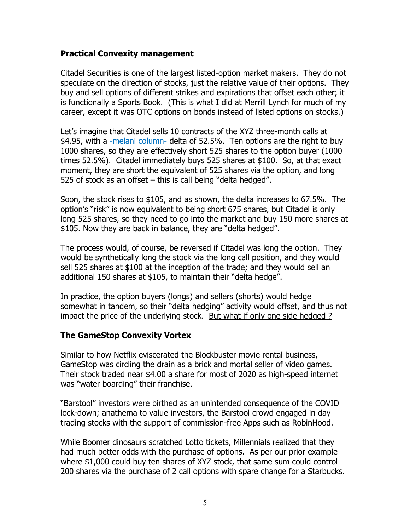### **Practical Convexity management**

Citadel Securities is one of the largest listed-option market makers. They do not speculate on the direction of stocks, just the relative value of their options. They buy and sell options of different strikes and expirations that offset each other; it is functionally a Sports Book. (This is what I did at Merrill Lynch for much of my career, except it was OTC options on bonds instead of listed options on stocks.)

Let's imagine that Citadel sells 10 contracts of the XYZ three-month calls at \$4.95, with a -melani column- delta of 52.5%. Ten options are the right to buy 1000 shares, so they are effectively short 525 shares to the option buyer (1000 times 52.5%). Citadel immediately buys 525 shares at \$100. So, at that exact moment, they are short the equivalent of 525 shares via the option, and long 525 of stock as an offset – this is call being "delta hedged".

Soon, the stock rises to \$105, and as shown, the delta increases to 67.5%. The option's "risk" is now equivalent to being short 675 shares, but Citadel is only long 525 shares, so they need to go into the market and buy 150 more shares at \$105. Now they are back in balance, they are "delta hedged".

The process would, of course, be reversed if Citadel was long the option. They would be synthetically long the stock via the long call position, and they would sell 525 shares at \$100 at the inception of the trade; and they would sell an additional 150 shares at \$105, to maintain their "delta hedge".

In practice, the option buyers (longs) and sellers (shorts) would hedge somewhat in tandem, so their "delta hedging" activity would offset, and thus not impact the price of the underlying stock. But what if only one side hedged ?

#### **The GameStop Convexity Vortex**

Similar to how Netflix eviscerated the Blockbuster movie rental business, GameStop was circling the drain as a brick and mortal seller of video games. Their stock traded near \$4.00 a share for most of 2020 as high-speed internet was "water boarding" their franchise.

"Barstool" investors were birthed as an unintended consequence of the COVID lock-down; anathema to value investors, the Barstool crowd engaged in day trading stocks with the support of commission-free Apps such as RobinHood.

While Boomer dinosaurs scratched Lotto tickets, Millennials realized that they had much better odds with the purchase of options. As per our prior example where \$1,000 could buy ten shares of XYZ stock, that same sum could control 200 shares via the purchase of 2 call options with spare change for a Starbucks.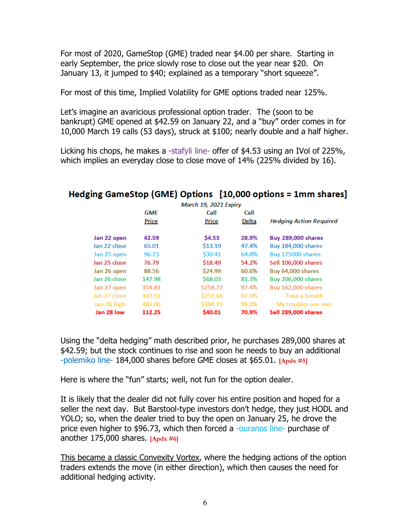For most of 2020, GameStop (GME) traded near \$4.00 per share. Starting in early September, the price slowly rose to close out the year near \$20. On January 13, it jumped to \$40; explained as a temporary "short squeeze".

For most of this time, Implied Volatility for GME options traded near 125%.

Let's imagine an avaricious professional option trader. The (soon to be bankrupt) GME opened at \$42.59 on January 22, and a "buy" order comes in for 10,000 March 19 calls (53 days), struck at \$100; nearly double and a half higher.

Licking his chops, he makes a -stafyli line- offer of \$4.53 using an IVol of 225%, which implies an everyday close to close move of 14% (225% divided by 16).

| March 19, 2021 Expiry |            |          |       |                                |  |  |
|-----------------------|------------|----------|-------|--------------------------------|--|--|
|                       | <b>GME</b> | Call     | Call  |                                |  |  |
|                       | Price      | Price    | Delta | <b>Hedging Action Required</b> |  |  |
| Jan 22 open           | 42.59      | \$4.53   | 28.9% | <b>Buy 289,000 shares</b>      |  |  |
| Jan 22 close          | 65.01      | \$13.19  | 47.4% | <b>Buy 184,000 shares</b>      |  |  |
| Jan 25 open           | 96.73      | \$30.41  | 64.8% | <b>Buy 175000 shares</b>       |  |  |
| Jan 25 close          | 76.79      | \$18.49  | 54.2% | Sell 106,000 shares            |  |  |
| Jan 26 open           | 88.56      | \$24.99  | 60.6% | Buy 64,000 shares              |  |  |
| Jan 26 close          | 147.98     | \$68.03  | 81.3% | <b>Buy 206,000 shares</b>      |  |  |
| Jan 27 open           | 354.83     | \$258.77 | 97.4% | <b>Buy 162,000 shares</b>      |  |  |
| Jan 27 close          | 347.51     | \$251.64 | 97.3% | Take a breath                  |  |  |
| Jan 28 high           | 483.00     | \$384.73 | 99.0% | My troubles are over           |  |  |
| Jan 28 low            | 112.25     | \$40.01  | 70.9% | Sell 289,000 shares            |  |  |

# Hedging GameStop (GME) Options [10.000 options = 1mm shares]

Using the "delta hedging" math described prior, he purchases 289,000 shares at \$42.59; but the stock continues to rise and soon he needs to buy an additional -polemiko line- 184,000 shares before GME closes at \$65.01. **[Apdx #5]**

Here is where the "fun" starts; well, not fun for the option dealer.

It is likely that the dealer did not fully cover his entire position and hoped for a seller the next day. But Barstool-type investors don't hedge, they just HODL and YOLO; so, when the dealer tried to buy the open on January 25, he drove the price even higher to \$96.73, which then forced a -ouranos line- purchase of another 175,000 shares. **[Apdx #6]** 

This became a classic Convexity Vortex, where the hedging actions of the option traders extends the move (in either direction), which then causes the need for additional hedging activity.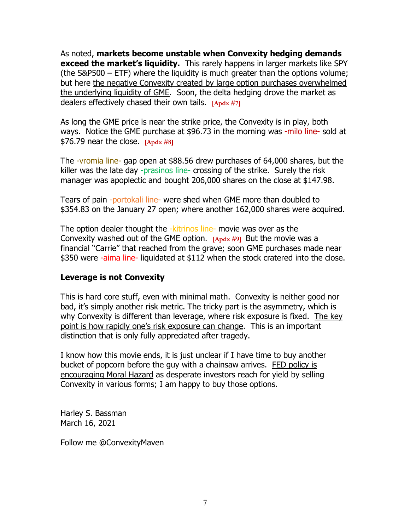As noted, **markets become unstable when Convexity hedging demands exceed the market's liquidity.** This rarely happens in larger markets like SPY (the S&P500 – ETF) where the liquidity is much greater than the options volume; but here the negative Convexity created by large option purchases overwhelmed the underlying liquidity of GME. Soon, the delta hedging drove the market as dealers effectively chased their own tails. **[Apdx #7]**

As long the GME price is near the strike price, the Convexity is in play, both ways. Notice the GME purchase at \$96.73 in the morning was -milo line- sold at \$76.79 near the close. **[Apdx #8]**

The -vromia line- gap open at \$88.56 drew purchases of 64,000 shares, but the killer was the late day -prasinos line- crossing of the strike. Surely the risk manager was apoplectic and bought 206,000 shares on the close at \$147.98.

Tears of pain -portokali line- were shed when GME more than doubled to \$354.83 on the January 27 open; where another 162,000 shares were acquired.

The option dealer thought the -kitrinos line- movie was over as the Convexity washed out of the GME option. **[Apdx #9]** But the movie was a financial "Carrie" that reached from the grave; soon GME purchases made near \$350 were -aima line- liquidated at \$112 when the stock cratered into the close.

### **Leverage is not Convexity**

This is hard core stuff, even with minimal math. Convexity is neither good nor bad, it's simply another risk metric. The tricky part is the asymmetry, which is why Convexity is different than leverage, where risk exposure is fixed. The key point is how rapidly one's risk exposure can change. This is an important distinction that is only fully appreciated after tragedy.

I know how this movie ends, it is just unclear if I have time to buy another bucket of popcorn before the guy with a chainsaw arrives. FED policy is encouraging Moral Hazard as desperate investors reach for yield by selling Convexity in various forms; I am happy to buy those options.

Harley S. Bassman March 16, 2021

Follow me @ConvexityMaven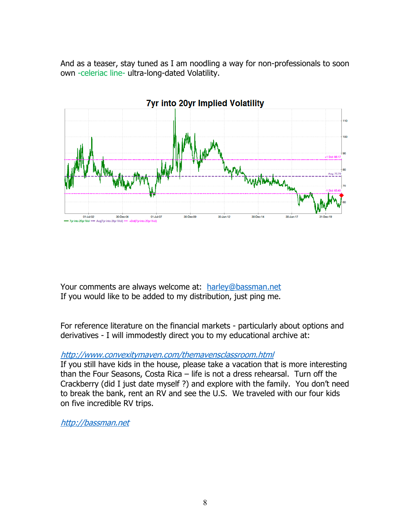And as a teaser, stay tuned as I am noodling a way for non-professionals to soon own -celeriac line- ultra-long-dated Volatility.



Your comments are always welcome at: harley@bassman.net If you would like to be added to my distribution, just ping me.

For reference literature on the financial markets - particularly about options and derivatives - I will immodestly direct you to my educational archive at:

#### http://www.convexitymaven.com/themavensclassroom.html

If you still have kids in the house, please take a vacation that is more interesting than the Four Seasons, Costa Rica – life is not a dress rehearsal. Turn off the Crackberry (did I just date myself ?) and explore with the family. You don't need to break the bank, rent an RV and see the U.S. We traveled with our four kids on five incredible RV trips.

http://bassman.net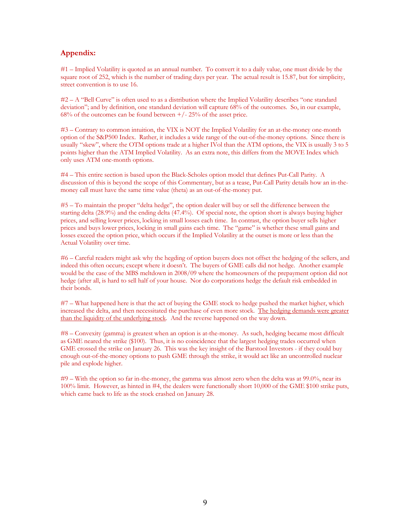#### **Appendix:**

#1 – Implied Volatility is quoted as an annual number. To convert it to a daily value, one must divide by the square root of 252, which is the number of trading days per year. The actual result is 15.87, but for simplicity, street convention is to use 16.

#2 – A "Bell Curve" is often used to as a distribution where the Implied Volatility describes "one standard deviation"; and by definition, one standard deviation will capture 68% of the outcomes. So, in our example,  $68\%$  of the outcomes can be found between  $+/- 25\%$  of the asset price.

#3 – Contrary to common intuition, the VIX is NOT the Implied Volatility for an at-the-money one-month option of the S&P500 Index. Rather, it includes a wide range of the out-of-the-money options. Since there is usually "skew", where the OTM options trade at a higher IVol than the ATM options, the VIX is usually 3 to 5 points higher than the ATM Implied Volatility. As an extra note, this differs from the MOVE Index which only uses ATM one-month options.

#4 – This entire section is based upon the Black-Scholes option model that defines Put-Call Parity. A discussion of this is beyond the scope of this Commentary, but as a tease, Put-Call Parity details how an in-themoney call must have the same time value (theta) as an out-of-the-money put.

#5 – To maintain the proper "delta hedge", the option dealer will buy or sell the difference between the starting delta (28.9%) and the ending delta (47.4%). Of special note, the option short is always buying higher prices, and selling lower prices, locking in small losses each time. In contrast, the option buyer sells higher prices and buys lower prices, locking in small gains each time. The "game" is whether these small gains and losses exceed the option price, which occurs if the Implied Volatility at the outset is more or less than the Actual Volatility over time.

#6 – Careful readers might ask why the hegding of option buyers does not offset the hedging of the sellers, and indeed this often occurs; except where it doesn't. The buyers of GME calls did not hedge. Another example would be the case of the MBS meltdown in 2008/09 where the homeowners of the prepayment option did not hedge (after all, is hard to sell half of your house. Nor do corporations hedge the default risk embedded in their bonds.

#7 – What happened here is that the act of buying the GME stock to hedge pushed the market higher, which increased the delta, and then necessitated the purchase of even more stock. The hedging demands were greater than the liquidity of the underlying stock. And the reverse happened on the way down.

#8 – Convexity (gamma) is greatest when an option is at-the-money. As such, hedging became most difficult as GME neared the strike (\$100). Thus, it is no coincidence that the largest hedging trades occurred when GME crossed the strike on January 26. This was the key insight of the Barstool Investors - if they could buy enough out-of-the-money options to push GME through the strike, it would act like an uncontrolled nuclear pile and explode higher.

#9 – With the option so far in-the-money, the gamma was almost zero when the delta was at 99.0%, near its 100% limit. However, as hinted in #4, the dealers were functionally short 10,000 of the GME \$100 strike puts, which came back to life as the stock crashed on January 28.